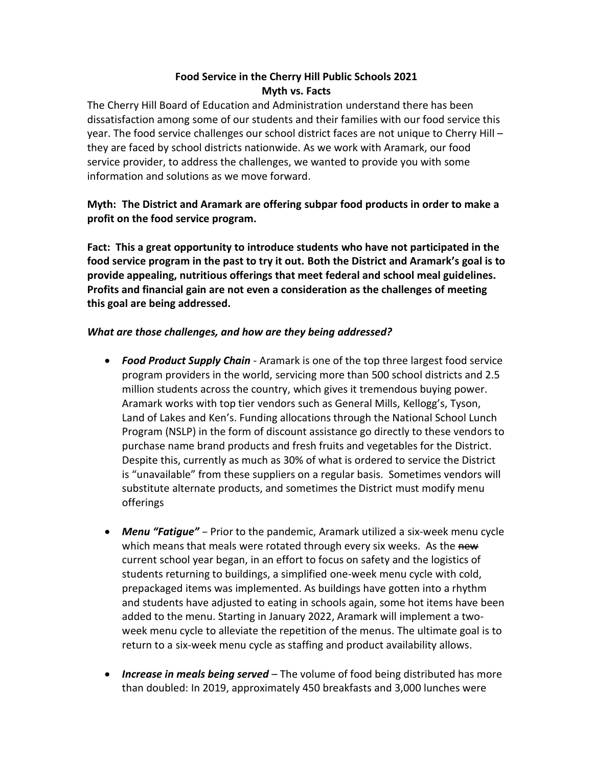# **Food Service in the Cherry Hill Public Schools 2021 Myth vs. Facts**

The Cherry Hill Board of Education and Administration understand there has been dissatisfaction among some of our students and their families with our food service this year. The food service challenges our school district faces are not unique to Cherry Hill – they are faced by school districts nationwide. As we work with Aramark, our food service provider, to address the challenges, we wanted to provide you with some information and solutions as we move forward.

**Myth: The District and Aramark are offering subpar food products in order to make a profit on the food service program.**

**Fact: This a great opportunity to introduce students who have not participated in the food service program in the past to try it out. Both the District and Aramark's goal is to provide appealing, nutritious offerings that meet federal and school meal guidelines. Profits and financial gain are not even a consideration as the challenges of meeting this goal are being addressed.**

### *What are those challenges, and how are they being addressed?*

- *Food Product Supply Chain* Aramark is one of the top three largest food service program providers in the world, servicing more than 500 school districts and 2.5 million students across the country, which gives it tremendous buying power. Aramark works with top tier vendors such as General Mills, Kellogg's, Tyson, Land of Lakes and Ken's. Funding allocations through the National School Lunch Program (NSLP) in the form of discount assistance go directly to these vendors to purchase name brand products and fresh fruits and vegetables for the District. Despite this, currently as much as 30% of what is ordered to service the District is "unavailable" from these suppliers on a regular basis. Sometimes vendors will substitute alternate products, and sometimes the District must modify menu offerings
- *Menu "Fatigue"*  Prior to the pandemic, Aramark utilized a six-week menu cycle which means that meals were rotated through every six weeks. As the new current school year began, in an effort to focus on safety and the logistics of students returning to buildings, a simplified one-week menu cycle with cold, prepackaged items was implemented. As buildings have gotten into a rhythm and students have adjusted to eating in schools again, some hot items have been added to the menu. Starting in January 2022, Aramark will implement a twoweek menu cycle to alleviate the repetition of the menus. The ultimate goal is to return to a six-week menu cycle as staffing and product availability allows.
- *Increase in meals being served*  The volume of food being distributed has more than doubled: In 2019, approximately 450 breakfasts and 3,000 lunches were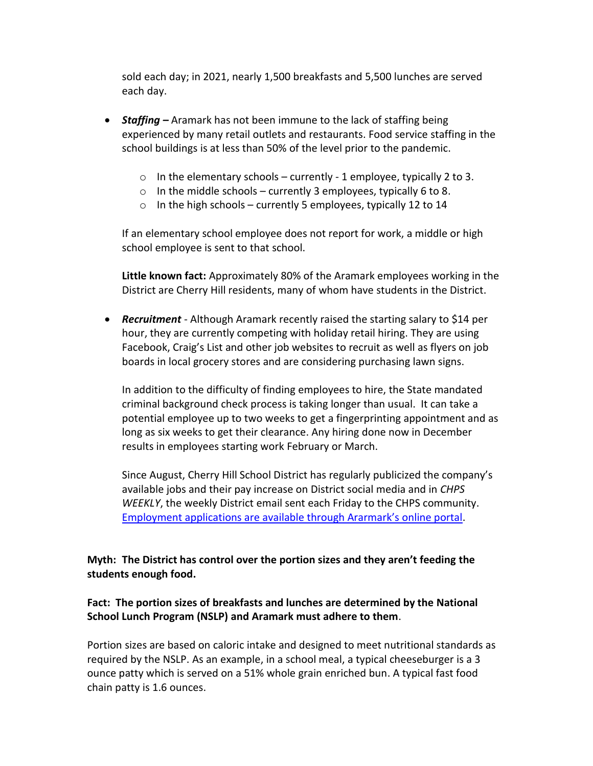sold each day; in 2021, nearly 1,500 breakfasts and 5,500 lunches are served each day.

- *Staffing –* Aramark has not been immune to the lack of staffing being experienced by many retail outlets and restaurants. Food service staffing in the school buildings is at less than 50% of the level prior to the pandemic.
	- $\circ$  In the elementary schools currently 1 employee, typically 2 to 3.
	- $\circ$  In the middle schools currently 3 employees, typically 6 to 8.
	- $\circ$  In the high schools currently 5 employees, typically 12 to 14

If an elementary school employee does not report for work, a middle or high school employee is sent to that school.

**Little known fact:** Approximately 80% of the Aramark employees working in the District are Cherry Hill residents, many of whom have students in the District.

• *Recruitment* - Although Aramark recently raised the starting salary to \$14 per hour, they are currently competing with holiday retail hiring. They are using Facebook, Craig's List and other job websites to recruit as well as flyers on job boards in local grocery stores and are considering purchasing lawn signs.

In addition to the difficulty of finding employees to hire, the State mandated criminal background check process is taking longer than usual. It can take a potential employee up to two weeks to get a fingerprinting appointment and as long as six weeks to get their clearance. Any hiring done now in December results in employees starting work February or March.

Since August, Cherry Hill School District has regularly publicized the company's available jobs and their pay increase on District social media and in *CHPS WEEKLY*, the weekly District email sent each Friday to the CHPS community. Employment applications are a[vailable through Ararmark's online portal](https://hourly-aramark.icims.com/jobs/search?ss=1&searchKeyword=Cherry+Hill+Public+Schools&mobile=false&width=1317&height=500&bga=true&needsRedirect=false&jan1offset=-300&jun1offset=-240).

# **Myth: The District has control over the portion sizes and they aren't feeding the students enough food.**

### **Fact: The portion sizes of breakfasts and lunches are determined by the National School Lunch Program (NSLP) and Aramark must adhere to them**.

Portion sizes are based on caloric intake and designed to meet nutritional standards as required by the NSLP. As an example, in a school meal, a typical cheeseburger is a 3 ounce patty which is served on a 51% whole grain enriched bun. A typical fast food chain patty is 1.6 ounces.